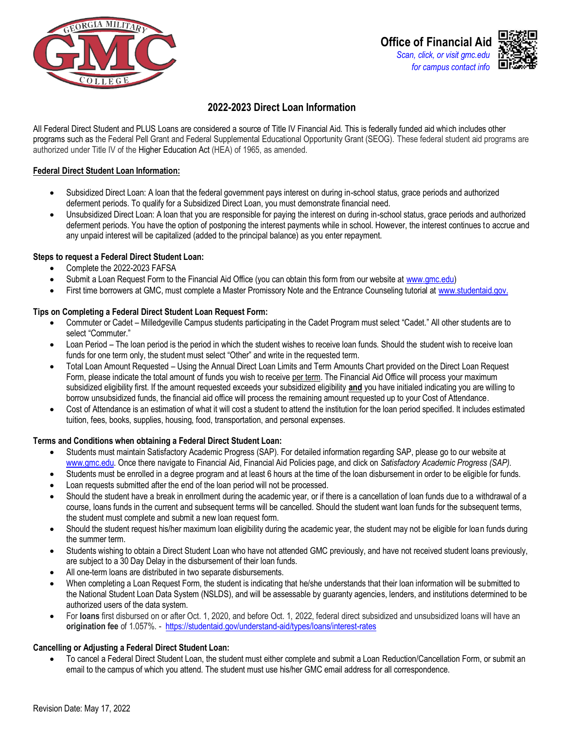

# **2022-2023 Direct Loan Information**

All Federal Direct Student and PLUS Loans are considered a source of Title IV Financial Aid. This is federally funded aid which includes other programs such as the Federal Pell Grant and Federal Supplemental Educational Opportunity Grant (SEOG). These federal student aid programs are authorized under Title IV of the Higher Education Act (HEA) of 1965, as amended.

#### **Federal Direct Student Loan Information:**

- Subsidized Direct Loan: A loan that the federal government pays interest on during in-school status, grace periods and authorized deferment periods. To qualify for a Subsidized Direct Loan, you must demonstrate financial need.
- Unsubsidized Direct Loan: A loan that you are responsible for paying the interest on during in-school status, grace periods and authorized deferment periods. You have the option of postponing the interest payments while in school. However, the interest continues to accrue and any unpaid interest will be capitalized (added to the principal balance) as you enter repayment.

#### **Steps to request a Federal Direct Student Loan:**

- Complete the 2022-2023 FAFSA
- Submit a Loan Request Form to the Financial Aid Office (you can obtain this form from our website at [www.gmc.edu\)](file://///gmc-mil-fil-013/Financial%20Aid/FAID/2021-2022/Forms/www.gmc.edu)
- First time borrowers at GMC, must complete a Master Promissory Note and the Entrance Counseling tutorial at [www.studentaid.gov.](http://www.studentaid.gov/)

#### **Tips on Completing a Federal Direct Student Loan Request Form:**

- Commuter or Cadet Milledgeville Campus students participating in the Cadet Program must select "Cadet." All other students are to select "Commuter."
- Loan Period The loan period is the period in which the student wishes to receive loan funds. Should the student wish to receive loan funds for one term only, the student must select "Other" and write in the requested term.
- Total Loan Amount Requested Using the Annual Direct Loan Limits and Term Amounts Chart provided on the Direct Loan Request Form, please indicate the total amount of funds you wish to receive per term. The Financial Aid Office will process your maximum subsidized eligibility first. If the amount requested exceeds your subsidized eligibility **and** you have initialed indicating you are willing to borrow unsubsidized funds, the financial aid office will process the remaining amount requested up to your Cost of Attendance*.*
- Cost of Attendance is an estimation of what it will cost a student to attend the institution for the loan period specified. It includes estimated tuition, fees, books, supplies, housing, food, transportation, and personal expenses.

#### **Terms and Conditions when obtaining a Federal Direct Student Loan:**

- Students must maintain Satisfactory Academic Progress (SAP). For detailed information regarding SAP, please go to our website at [www.gmc.edu.](file://///gmc-mil-fil-013/Financial%20Aid/FAID/2021-2022/Forms/www.gmc.edu) Once there navigate to Financial Aid, Financial Aid Policies page, and click on *Satisfactory Academic Progress (SAP).*
- Students must be enrolled in a degree program and at least 6 hours at the time of the loan disbursement in order to be eligible for funds.
- Loan requests submitted after the end of the loan period will not be processed.
- Should the student have a break in enrollment during the academic year, or if there is a cancellation of loan funds due to a withdrawal of a course, loans funds in the current and subsequent terms will be cancelled. Should the student want loan funds for the subsequent terms, the student must complete and submit a new loan request form.
- Should the student request his/her maximum loan eligibility during the academic year, the student may not be eligible for loan funds during the summer term.
- Students wishing to obtain a Direct Student Loan who have not attended GMC previously, and have not received student loans previously, are subject to a 30 Day Delay in the disbursement of their loan funds.
- All one-term loans are distributed in two separate disbursements.
- When completing a Loan Request Form, the student is indicating that he/she understands that their loan information will be submitted to the National Student Loan Data System (NSLDS), and will be assessable by guaranty agencies, lenders, and institutions determined to be authorized users of the data system.
- For **loans** first disbursed on or after Oct. 1, 2020, and before Oct. 1, 2022, federal direct subsidized and unsubsidized loans will have an **origination fee** of 1.057%. -<https://studentaid.gov/understand-aid/types/loans/interest-rates>

#### **Cancelling or Adjusting a Federal Direct Student Loan:**

• To cancel a Federal Direct Student Loan, the student must either complete and submit a Loan Reduction/Cancellation Form, or submit an email to the campus of which you attend. The student must use his/her GMC email address for all correspondence.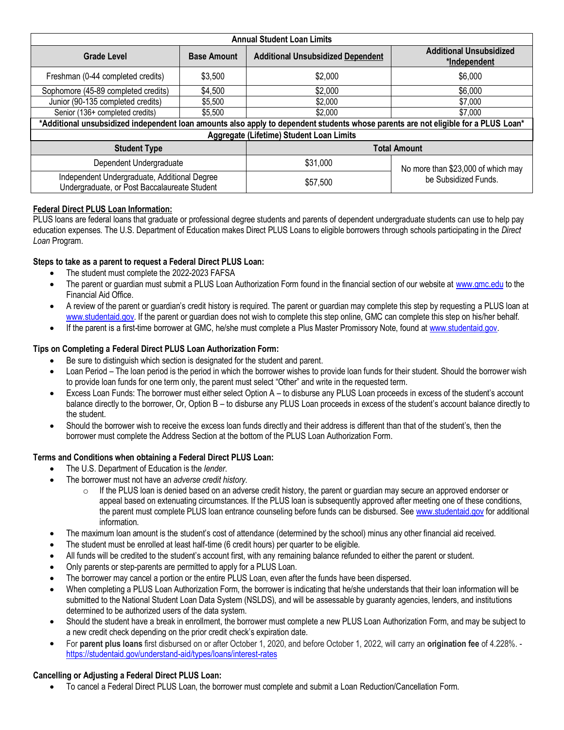| <b>Annual Student Loan Limits</b>                                                                                                  |                    |                                          |                                                            |  |  |  |  |
|------------------------------------------------------------------------------------------------------------------------------------|--------------------|------------------------------------------|------------------------------------------------------------|--|--|--|--|
| <b>Grade Level</b><br><b>Base Amount</b>                                                                                           |                    | <b>Additional Unsubsidized Dependent</b> | <b>Additional Unsubsidized</b><br>*Independent             |  |  |  |  |
| Freshman (0-44 completed credits)                                                                                                  | \$3,500            | \$2,000                                  | \$6,000                                                    |  |  |  |  |
| Sophomore (45-89 completed credits)                                                                                                | \$4,500<br>\$2,000 |                                          | \$6,000                                                    |  |  |  |  |
| Junior (90-135 completed credits)                                                                                                  | \$5,500            |                                          | \$7,000                                                    |  |  |  |  |
| Senior (136+ completed credits)<br>\$5,500                                                                                         |                    | \$2,000                                  | \$7,000                                                    |  |  |  |  |
| *Additional unsubsidized independent loan amounts also apply to dependent students whose parents are not eligible for a PLUS Loan* |                    |                                          |                                                            |  |  |  |  |
| Aggregate (Lifetime) Student Loan Limits                                                                                           |                    |                                          |                                                            |  |  |  |  |
| <b>Student Type</b>                                                                                                                |                    | <b>Total Amount</b>                      |                                                            |  |  |  |  |
| Dependent Undergraduate                                                                                                            |                    | \$31,000                                 | No more than \$23,000 of which may<br>be Subsidized Funds. |  |  |  |  |
| Independent Undergraduate, Additional Degree<br>Undergraduate, or Post Baccalaureate Student                                       |                    | \$57,500                                 |                                                            |  |  |  |  |

### **Federal Direct PLUS Loan Information:**

PLUS loans are federal loans that graduate or professional degree students and parents of dependent undergraduate students can use to help pay education expenses. The U.S. Department of Education makes Direct PLUS Loans to eligible borrowers through schools participating in the *Direct Loan* Program.

# **Steps to take as a parent to request a Federal Direct PLUS Loan:**

- The student must complete the 2022-2023 FAFSA
- The parent or guardian must submit a PLUS Loan Authorization Form found in the financial section of our website at [www.gmc.edu](file://///gmc-mil-fil-013/Financial%20Aid/FAID/2021-2022/Forms/www.gmc.edu%20) to the Financial Aid Office.
- A review of the parent or guardian's credit history is required. The parent or guardian may complete this step by requesting a PLUS loan at [www.studentaid.gov.](http://www.studentaid.gov/) If the parent or guardian does not wish to complete this step online, GMC can complete this step on his/her behalf.
- If the parent is a first-time borrower at GMC, he/she must complete a Plus Master Promissory Note, found a[t www.studentaid.gov.](http://www.studentaid.gov/)

### **Tips on Completing a Federal Direct PLUS Loan Authorization Form:**

- Be sure to distinguish which section is designated for the student and parent.
- Loan Period The loan period is the period in which the borrower wishes to provide loan funds for their student. Should the borrower wish to provide loan funds for one term only, the parent must select "Other" and write in the requested term.
- Excess Loan Funds: The borrower must either select Option A to disburse any PLUS Loan proceeds in excess of the student's account balance directly to the borrower, Or, Option B – to disburse any PLUS Loan proceeds in excess of the student's account balance directly to the student.
- Should the borrower wish to receive the excess loan funds directly and their address is different than that of the student's, then the borrower must complete the Address Section at the bottom of the PLUS Loan Authorization Form.

# **Terms and Conditions when obtaining a Federal Direct PLUS Loan:**

- The U.S. Department of Education is the *lender*.
- The borrower must not have an *adverse credit history*.
	- $\circ$  If the PLUS loan is denied based on an adverse credit history, the parent or guardian may secure an approved endorser or appeal based on extenuating circumstances. If the PLUS loan is subsequently approved after meeting one of these conditions, the parent must complete PLUS loan entrance counseling before funds can be disbursed. See [www.studentaid.gov](http://www.studentaid.gov/) for additional information.
- The maximum loan amount is the student's cost of attendance (determined by the school) minus any other financial aid received.
- The student must be enrolled at least half-time (6 credit hours) per quarter to be eligible.
- All funds will be credited to the student's account first, with any remaining balance refunded to either the parent or student.
- Only parents or step-parents are permitted to apply for a PLUS Loan.
- The borrower may cancel a portion or the entire PLUS Loan, even after the funds have been dispersed.
- When completing a PLUS Loan Authorization Form, the borrower is indicating that he/she understands that their loan information will be submitted to the National Student Loan Data System (NSLDS), and will be assessable by guaranty agencies, lenders, and institutions determined to be authorized users of the data system.
- Should the student have a break in enrollment, the borrower must complete a new PLUS Loan Authorization Form, and may be subject to a new credit check depending on the prior credit check's expiration date.
- For **parent plus loans** first disbursed on or after October 1, 2020, and before October 1, 2022, will carry an **origination fee** of 4.228%. <https://studentaid.gov/understand-aid/types/loans/interest-rates>

# **Cancelling or Adjusting a Federal Direct PLUS Loan:**

• To cancel a Federal Direct PLUS Loan, the borrower must complete and submit a Loan Reduction/Cancellation Form.